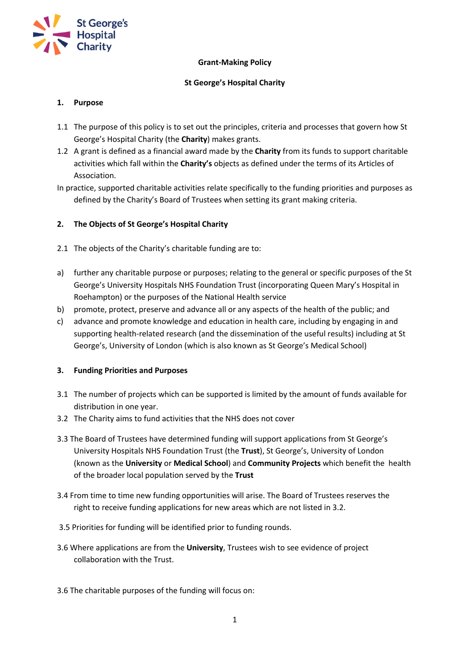

# **Grant-Making Policy**

# **St George's Hospital Charity**

# **1. Purpose**

- 1.1 The purpose of this policy is to set out the principles, criteria and processes that govern how St George's Hospital Charity (the **Charity**) makes grants.
- 1.2 A grant is defined as a financial award made by the **Charity** from its funds to support charitable activities which fall within the **Charity's** objects as defined under the terms of its Articles of Association.
- In practice, supported charitable activities relate specifically to the funding priorities and purposes as defined by the Charity's Board of Trustees when setting its grant making criteria.

# **2. The Objects of St George's Hospital Charity**

- 2.1 The objects of the Charity's charitable funding are to:
- a) further any charitable purpose or purposes; relating to the general or specific purposes of the St George's University Hospitals NHS Foundation Trust (incorporating Queen Mary's Hospital in Roehampton) or the purposes of the National Health service
- b) promote, protect, preserve and advance all or any aspects of the health of the public; and
- c) advance and promote knowledge and education in health care, including by engaging in and supporting health-related research (and the dissemination of the useful results) including at St George's, University of London (which is also known as St George's Medical School)

## **3. Funding Priorities and Purposes**

- 3.1 The number of projects which can be supported is limited by the amount of funds available for distribution in one year.
- 3.2 The Charity aims to fund activities that the NHS does not cover
- 3.3 The Board of Trustees have determined funding will support applications from St George's University Hospitals NHS Foundation Trust (the **Trust**), St George's, University of London (known as the **University** or **Medical School**) and **Community Projects** which benefit the health of the broader local population served by the **Trust**
- 3.4 From time to time new funding opportunities will arise. The Board of Trustees reserves the right to receive funding applications for new areas which are not listed in 3.2.
- 3.5 Priorities for funding will be identified prior to funding rounds.
- 3.6 Where applications are from the **University**, Trustees wish to see evidence of project collaboration with the Trust.
- 3.6 The charitable purposes of the funding will focus on: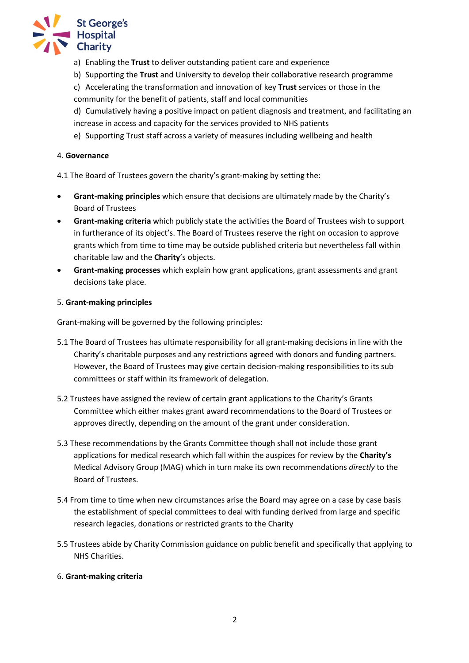

- a) Enabling the **Trust** to deliver outstanding patient care and experience
- b) Supporting the **Trust** and University to develop their collaborative research programme
- c) Accelerating the transformation and innovation of key **Trust** services or those in the community for the benefit of patients, staff and local communities

d) Cumulatively having a positive impact on patient diagnosis and treatment, and facilitating an increase in access and capacity for the services provided to NHS patients

e) Supporting Trust staff across a variety of measures including wellbeing and health

## 4. **Governance**

4.1 The Board of Trustees govern the charity's grant-making by setting the:

- **Grant-making principles** which ensure that decisions are ultimately made by the Charity's Board of Trustees
- **Grant-making criteria** which publicly state the activities the Board of Trustees wish to support in furtherance of its object's. The Board of Trustees reserve the right on occasion to approve grants which from time to time may be outside published criteria but nevertheless fall within charitable law and the **Charity**'s objects.
- **Grant-making processes** which explain how grant applications, grant assessments and grant decisions take place.

#### 5. **Grant-making principles**

Grant-making will be governed by the following principles:

- 5.1 The Board of Trustees has ultimate responsibility for all grant-making decisions in line with the Charity's charitable purposes and any restrictions agreed with donors and funding partners. However, the Board of Trustees may give certain decision-making responsibilities to its sub committees or staff within its framework of delegation.
- 5.2 Trustees have assigned the review of certain grant applications to the Charity's Grants Committee which either makes grant award recommendations to the Board of Trustees or approves directly, depending on the amount of the grant under consideration.
- 5.3 These recommendations by the Grants Committee though shall not include those grant applications for medical research which fall within the auspices for review by the **Charity's** Medical Advisory Group (MAG) which in turn make its own recommendations *directly* to the Board of Trustees.
- 5.4 From time to time when new circumstances arise the Board may agree on a case by case basis the establishment of special committees to deal with funding derived from large and specific research legacies, donations or restricted grants to the Charity
- 5.5 Trustees abide by Charity Commission guidance on public benefit and specifically that applying to NHS Charities.

## 6. **Grant-making criteria**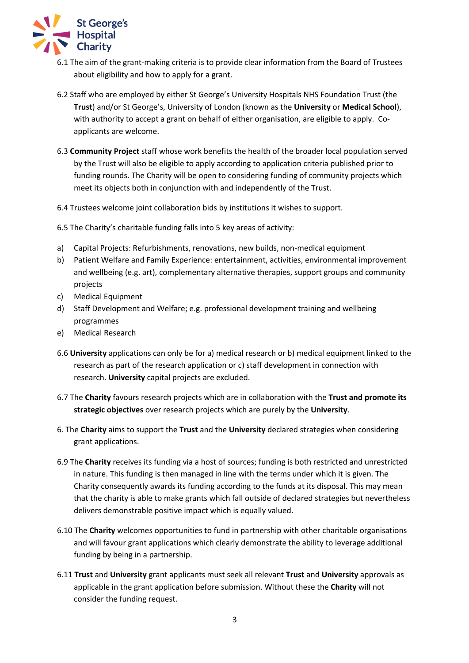

- 6.1 The aim of the grant-making criteria is to provide clear information from the Board of Trustees about eligibility and how to apply for a grant.
- 6.2 Staff who are employed by either St George's University Hospitals NHS Foundation Trust (the **Trust**) and/or St George's, University of London (known as the **University** or **Medical School**), with authority to accept a grant on behalf of either organisation, are eligible to apply. Coapplicants are welcome.
- 6.3 **Community Project** staff whose work benefits the health of the broader local population served by the Trust will also be eligible to apply according to application criteria published prior to funding rounds. The Charity will be open to considering funding of community projects which meet its objects both in conjunction with and independently of the Trust.
- 6.4 Trustees welcome joint collaboration bids by institutions it wishes to support.
- 6.5 The Charity's charitable funding falls into 5 key areas of activity:
- a) Capital Projects: Refurbishments, renovations, new builds, non-medical equipment
- b) Patient Welfare and Family Experience: entertainment, activities, environmental improvement and wellbeing (e.g. art), complementary alternative therapies, support groups and community projects
- c) Medical Equipment
- d) Staff Development and Welfare; e.g. professional development training and wellbeing programmes
- e) Medical Research
- 6.6 **University** applications can only be for a) medical research or b) medical equipment linked to the research as part of the research application or c) staff development in connection with research. **University** capital projects are excluded.
- 6.7 The **Charity** favours research projects which are in collaboration with the **Trust and promote its strategic objectives** over research projects which are purely by the **University**.
- 6. The **Charity** aims to support the **Trust** and the **University** declared strategies when considering grant applications.
- 6.9 The **Charity** receives its funding via a host of sources; funding is both restricted and unrestricted in nature. This funding is then managed in line with the terms under which it is given. The Charity consequently awards its funding according to the funds at its disposal. This may mean that the charity is able to make grants which fall outside of declared strategies but nevertheless delivers demonstrable positive impact which is equally valued.
- 6.10 The **Charity** welcomes opportunities to fund in partnership with other charitable organisations and will favour grant applications which clearly demonstrate the ability to leverage additional funding by being in a partnership.
- 6.11 **Trust** and **University** grant applicants must seek all relevant **Trust** and **University** approvals as applicable in the grant application before submission. Without these the **Charity** will not consider the funding request.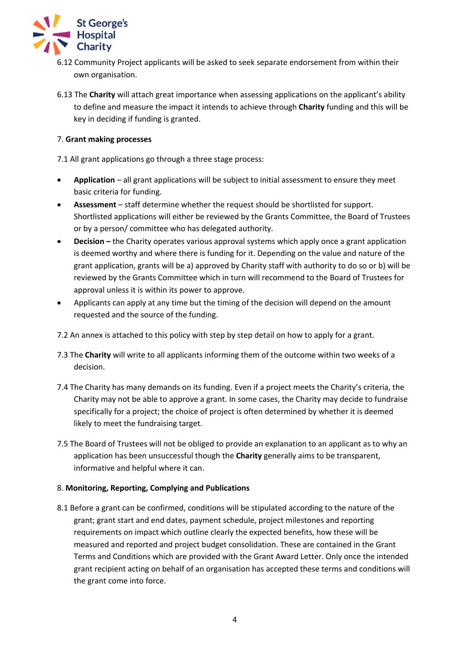

- 6.12 Community Project applicants will be asked to seek separate endorsement from within their own organisation.
- 6.13 The **Charity** will attach great importance when assessing applications on the applicant's ability to define and measure the impact it intends to achieve through **Charity** funding and this will be key in deciding if funding is granted.

# 7. **Grant making processes**

7.1 All grant applications go through a three stage process:

- **Application** all grant applications will be subject to initial assessment to ensure they meet basic criteria for funding.
- **Assessment**  staff determine whether the request should be shortlisted for support. Shortlisted applications will either be reviewed by the Grants Committee, the Board of Trustees or by a person/ committee who has delegated authority.
- **Decision** the Charity operates various approval systems which apply once a grant application is deemed worthy and where there is funding for it. Depending on the value and nature of the grant application, grants will be a) approved by Charity staff with authority to do so or b) will be reviewed by the Grants Committee which in turn will recommend to the Board of Trustees for approval unless it is within its power to approve.
- Applicants can apply at any time but the timing of the decision will depend on the amount requested and the source of the funding.
- 7.2 An annex is attached to this policy with step by step detail on how to apply for a grant.
- 7.3 The **Charity** will write to all applicants informing them of the outcome within two weeks of a decision.
- 7.4 The Charity has many demands on its funding. Even if a project meets the Charity's criteria, the Charity may not be able to approve a grant. In some cases, the Charity may decide to fundraise specifically for a project; the choice of project is often determined by whether it is deemed likely to meet the fundraising target.
- 7.5 The Board of Trustees will not be obliged to provide an explanation to an applicant as to why an application has been unsuccessful though the **Charity** generally aims to be transparent, informative and helpful where it can.

## 8. **Monitoring, Reporting, Complying and Publications**

8.1 Before a grant can be confirmed, conditions will be stipulated according to the nature of the grant; grant start and end dates, payment schedule, project milestones and reporting requirements on impact which outline clearly the expected benefits, how these will be measured and reported and project budget consolidation. These are contained in the Grant Terms and Conditions which are provided with the Grant Award Letter. Only once the intended grant recipient acting on behalf of an organisation has accepted these terms and conditions will the grant come into force.